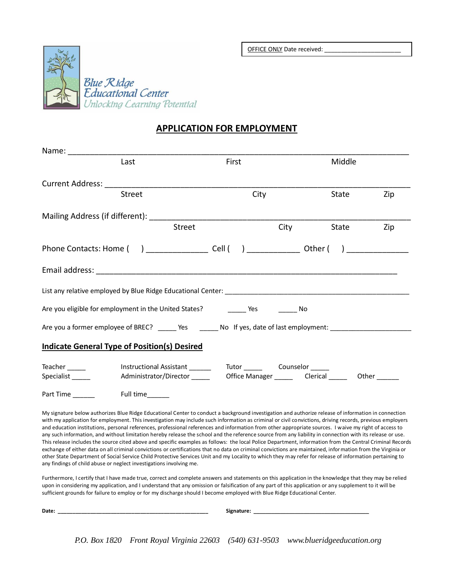OFFICE ONLY Date received:



## **APPLICATION FOR EMPLOYMENT**

|                  | Last                                                                                                          | First |      | Middle     |     |
|------------------|---------------------------------------------------------------------------------------------------------------|-------|------|------------|-----|
|                  |                                                                                                               |       |      |            |     |
|                  | <b>Street</b>                                                                                                 |       | City | State      | Zip |
|                  |                                                                                                               |       |      |            |     |
|                  | <b>Street</b>                                                                                                 |       |      | City State | Zip |
|                  |                                                                                                               |       |      |            |     |
|                  |                                                                                                               |       |      |            |     |
|                  |                                                                                                               |       |      |            |     |
|                  |                                                                                                               |       |      |            |     |
|                  | Are you a former employee of BREC? ______ Yes ________ No If yes, date of last employment: __________________ |       |      |            |     |
|                  | <b>Indicate General Type of Position(s) Desired</b>                                                           |       |      |            |     |
| Teacher ________ |                                                                                                               |       |      |            |     |
| Part Time        | Full time_______                                                                                              |       |      |            |     |

My signature below authorizes Blue Ridge Educational Center to conduct a background investigation and authorize release of information in connection with my application for employment. This investigation may include such information as criminal or civil convictions, driving records, previous employers and education institutions, personal references, professional references and information from other appropriate sources. I waive my right of access to any such information, and without limitation hereby release the school and the reference source from any liability in connection with its release or use. This release includes the source cited above and specific examples as follows: the local Police Department, information from the Central Criminal Records exchange of either data on all criminal convictions or certifications that no data on criminal convictions are maintained, information from the Virginia or other State Department of Social Service Child Protective Services Unit and my Locality to which they may refer for release of information pertaining to any findings of child abuse or neglect investigations involving me.

Furthermore, I certify that I have made true, correct and complete answers and statements on this application in the knowledge that they may be relied upon in considering my application, and I understand that any omission or falsification of any part of this application or any supplement to it will be sufficient grounds for failure to employ or for my discharge should I become employed with Blue Ridge Educational Center.

| Date: |  | Signature: |                                                                                    |  |
|-------|--|------------|------------------------------------------------------------------------------------|--|
|       |  |            |                                                                                    |  |
|       |  |            | P.O. Box 1820 Front Royal Virginia 22603 (540) 631-9503 www.blueridgeeducation.org |  |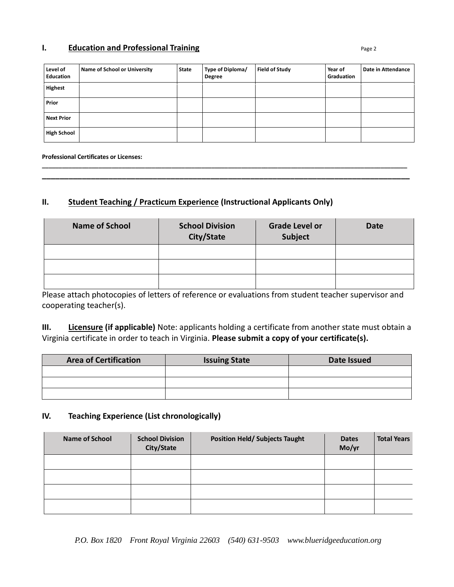#### **I. Education and Professional Training Page 2 Page 2**

| Level of<br><b>Education</b> | Name of School or University | <b>State</b> | Type of Diploma/<br><b>Degree</b> | <b>Field of Study</b> | Year of<br>Graduation | Date in Attendance |
|------------------------------|------------------------------|--------------|-----------------------------------|-----------------------|-----------------------|--------------------|
| Highest                      |                              |              |                                   |                       |                       |                    |
| Prior                        |                              |              |                                   |                       |                       |                    |
| Next Prior                   |                              |              |                                   |                       |                       |                    |
| <b>High School</b>           |                              |              |                                   |                       |                       |                    |

**\_\_\_\_\_\_\_\_\_\_\_\_\_\_\_\_\_\_\_\_\_\_\_\_\_\_\_\_\_\_\_\_\_\_\_\_\_\_\_\_\_\_\_\_\_\_\_\_\_\_\_\_\_\_\_\_\_\_\_\_\_\_\_\_\_\_\_\_\_\_\_\_\_\_\_\_\_\_\_\_\_\_\_\_\_\_\_\_\_\_\_\_\_\_\_\_\_\_\_\_\_\_\_\_\_\_\_\_\_\_ \_\_\_\_\_\_\_\_\_\_\_\_\_\_\_\_\_\_\_\_\_\_\_\_\_\_\_\_\_\_\_\_\_\_\_\_\_\_\_\_\_\_\_\_\_\_\_\_\_\_\_\_\_\_\_\_\_\_\_\_\_\_\_\_\_\_\_\_\_\_\_\_\_\_\_\_\_\_\_\_\_\_\_**

#### **Professional Certificates or Licenses:**

## **II. Student Teaching / Practicum Experience (Instructional Applicants Only)**

| <b>Name of School</b> | <b>School Division</b><br>City/State | <b>Grade Level or</b><br>Subject | <b>Date</b> |
|-----------------------|--------------------------------------|----------------------------------|-------------|
|                       |                                      |                                  |             |
|                       |                                      |                                  |             |
|                       |                                      |                                  |             |

Please attach photocopies of letters of reference or evaluations from student teacher supervisor and cooperating teacher(s).

**III. Licensure (if applicable)** Note: applicants holding a certificate from another state must obtain a Virginia certificate in order to teach in Virginia. **Please submit a copy of your certificate(s).**

| <b>Area of Certification</b> | <b>Issuing State</b> | Date Issued |  |
|------------------------------|----------------------|-------------|--|
|                              |                      |             |  |
|                              |                      |             |  |
|                              |                      |             |  |

### **IV. Teaching Experience (List chronologically)**

| <b>Name of School</b> | <b>School Division</b><br>City/State | <b>Position Held/ Subjects Taught</b> | <b>Dates</b><br>Mo/yr | <b>Total Years</b> |
|-----------------------|--------------------------------------|---------------------------------------|-----------------------|--------------------|
|                       |                                      |                                       |                       |                    |
|                       |                                      |                                       |                       |                    |
|                       |                                      |                                       |                       |                    |
|                       |                                      |                                       |                       |                    |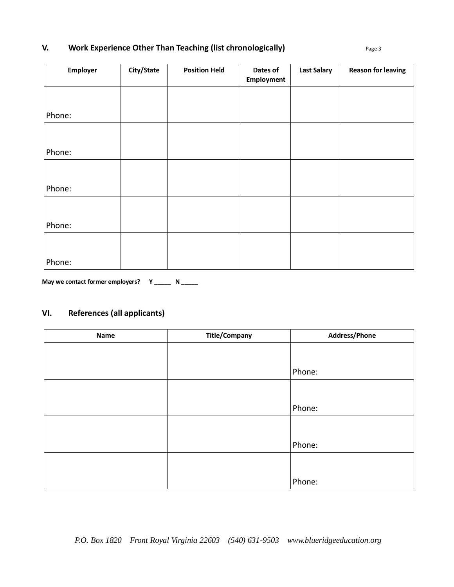# **V. Work Experience Other Than Teaching (list chronologically) Page 3** Page 3

| Employer | City/State | <b>Position Held</b> | Dates of<br>Employment | <b>Last Salary</b> | <b>Reason for leaving</b> |
|----------|------------|----------------------|------------------------|--------------------|---------------------------|
|          |            |                      |                        |                    |                           |
| Phone:   |            |                      |                        |                    |                           |
|          |            |                      |                        |                    |                           |
| Phone:   |            |                      |                        |                    |                           |
|          |            |                      |                        |                    |                           |
| Phone:   |            |                      |                        |                    |                           |
|          |            |                      |                        |                    |                           |
| Phone:   |            |                      |                        |                    |                           |
|          |            |                      |                        |                    |                           |
| Phone:   |            |                      |                        |                    |                           |

May we contact former employers? Y \_\_\_\_\_ N \_\_\_\_\_

# **VI. References (all applicants)**

| Name | <b>Title/Company</b> | Address/Phone |
|------|----------------------|---------------|
|      |                      |               |
|      |                      |               |
|      |                      | Phone:        |
|      |                      |               |
|      |                      |               |
|      |                      | Phone:        |
|      |                      |               |
|      |                      |               |
|      |                      | Phone:        |
|      |                      |               |
|      |                      |               |
|      |                      | Phone:        |